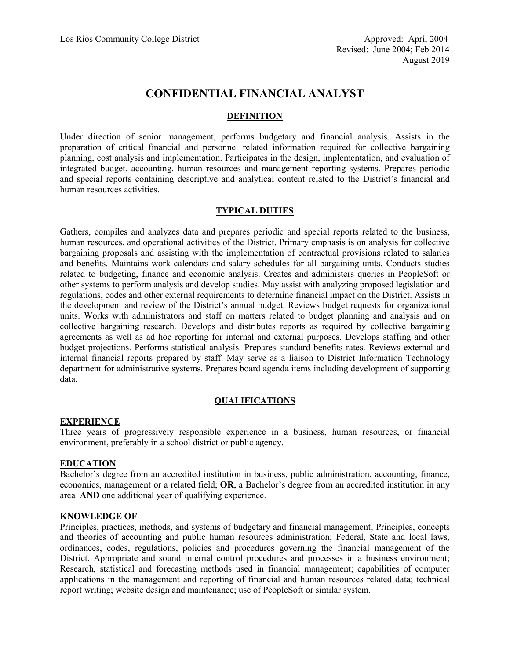# **CONFIDENTIAL FINANCIAL ANALYST**

# **DEFINITION**

Under direction of senior management, performs budgetary and financial analysis. Assists in the preparation of critical financial and personnel related information required for collective bargaining planning, cost analysis and implementation. Participates in the design, implementation, and evaluation of integrated budget, accounting, human resources and management reporting systems. Prepares periodic and special reports containing descriptive and analytical content related to the District's financial and human resources activities.

### **TYPICAL DUTIES**

Gathers, compiles and analyzes data and prepares periodic and special reports related to the business, human resources, and operational activities of the District. Primary emphasis is on analysis for collective bargaining proposals and assisting with the implementation of contractual provisions related to salaries and benefits. Maintains work calendars and salary schedules for all bargaining units. Conducts studies related to budgeting, finance and economic analysis. Creates and administers queries in PeopleSoft or other systems to perform analysis and develop studies. May assist with analyzing proposed legislation and regulations, codes and other external requirements to determine financial impact on the District. Assists in the development and review of the District's annual budget. Reviews budget requests for organizational units. Works with administrators and staff on matters related to budget planning and analysis and on collective bargaining research. Develops and distributes reports as required by collective bargaining agreements as well as ad hoc reporting for internal and external purposes. Develops staffing and other budget projections. Performs statistical analysis. Prepares standard benefits rates. Reviews external and internal financial reports prepared by staff. May serve as a liaison to District Information Technology department for administrative systems. Prepares board agenda items including development of supporting data.

# **QUALIFICATIONS**

#### **EXPERIENCE**

Three years of progressively responsible experience in a business, human resources, or financial environment, preferably in a school district or public agency.

#### **EDUCATION**

Bachelor's degree from an accredited institution in business, public administration, accounting, finance, economics, management or a related field; **OR**, a Bachelor's degree from an accredited institution in any area **AND** one additional year of qualifying experience.

#### **KNOWLEDGE OF**

Principles, practices, methods, and systems of budgetary and financial management; Principles, concepts and theories of accounting and public human resources administration; Federal, State and local laws, ordinances, codes, regulations, policies and procedures governing the financial management of the District. Appropriate and sound internal control procedures and processes in a business environment; Research, statistical and forecasting methods used in financial management; capabilities of computer applications in the management and reporting of financial and human resources related data; technical report writing; website design and maintenance; use of PeopleSoft or similar system.